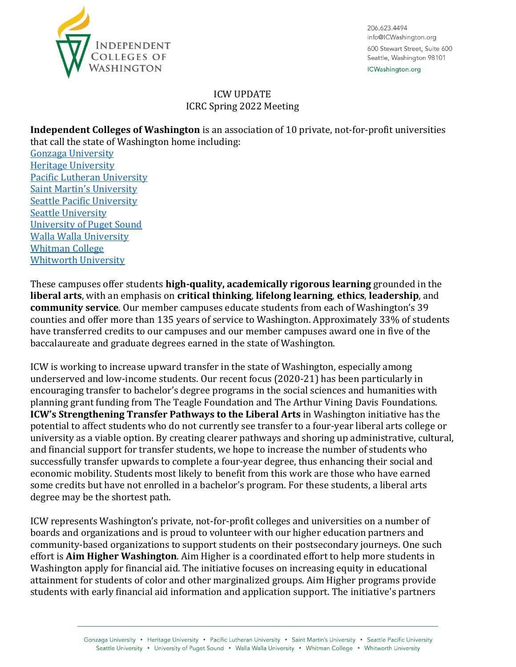

206 623 4494 info@ICWashington.org 600 Stewart Street, Suite 600 Seattle, Washington 98101

ICWashington.org

## ICW UPDATE ICRC Spring 2022 Meeting

**Independent Colleges of Washington** is an association of 10 private, not-for-profit universities that call the state of Washington home including:

[Gonzaga University](https://www.gonzaga.edu/undergraduate-admission/apply/how-to-apply/transfer-students) [Heritage University](https://heritage.edu/admissions/transfer-students/) [Pacific Lutheran University](https://www.plu.edu/admission-transfer/) Saint Martin['s University](https://www.stmartin.edu/admissions-aid/how-to-apply/transfer-undergrad) [Seattle Pacific University](https://spu.edu/undergraduate-admissions/apply/transfer-students) [Seattle University](https://www.seattleu.edu/undergraduate-admissions/apply/transfer/) [University of Puget Sound](https://www.pugetsound.edu/admission/apply/transfer) [Walla Walla University](https://www.wallawalla.edu/admissions-and-aid/steps-to-enrollment/transfer-students/) [Whitman College](https://www.whitman.edu/admission-and-aid/applying-to-whitman/transfer-students) [Whitworth University](https://www.whitworth.edu/cms/administration/admissions/transfer-students/)

These campuses offer students **high-quality, academically rigorous learning** grounded in the **liberal arts**, with an emphasis on **critical thinking**, **lifelong learning**, **ethics**, **leadership**, and **community service**. Our member campuses educate students from each of Washington's 39 counties and offer more than 135 years of service to Washington. Approximately 33% of students have transferred credits to our campuses and our member campuses award one in five of the baccalaureate and graduate degrees earned in the state of Washington.

ICW is working to increase upward transfer in the state of Washington, especially among underserved and low-income students. Our recent focus (2020-21) has been particularly in encouraging transfer to bachelor's degree programs in the social sciences and humanities with planning grant funding from The Teagle Foundation and The Arthur Vining Davis Foundations. **ICW's Strengthening Transfer Pathways to the Liberal Arts** in Washington initiative has the potential to affect students who do not currently see transfer to a four-year liberal arts college or university as a viable option. By creating clearer pathways and shoring up administrative, cultural, and financial support for transfer students, we hope to increase the number of students who successfully transfer upwards to complete a four-year degree, thus enhancing their social and economic mobility. Students most likely to benefit from this work are those who have earned some credits but have not enrolled in a bachelor's program. For these students, a liberal arts degree may be the shortest path.

ICW represents Washington's private, not-for-profit colleges and universities on a number of boards and organizations and is proud to volunteer with our higher education partners and community-based organizations to support students on their postsecondary journeys. One such effort is **Aim Higher Washington**. Aim Higher is a coordinated effort to help more students in Washington apply for financial aid. The initiative focuses on increasing equity in educational attainment for students of color and other marginalized groups. Aim Higher programs provide students with early financial aid information and application support. The initiative's partners